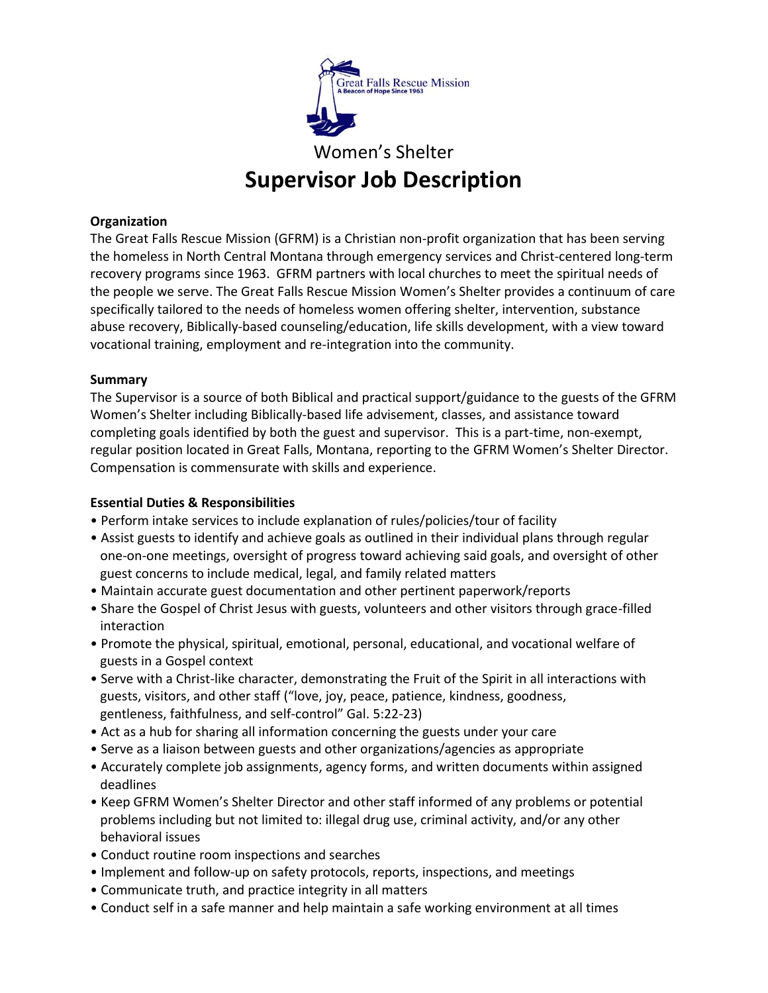

**Supervisor Job Description**

## **Organization**

The Great Falls Rescue Mission (GFRM) is a Christian non-profit organization that has been serving the homeless in North Central Montana through emergency services and Christ-centered long-term recovery programs since 1963. GFRM partners with local churches to meet the spiritual needs of the people we serve. The Great Falls Rescue Mission Women's Shelter provides a continuum of care specifically tailored to the needs of homeless women offering shelter, intervention, substance abuse recovery, Biblically-based counseling/education, life skills development, with a view toward vocational training, employment and re-integration into the community.

# **Summary**

The Supervisor is a source of both Biblical and practical support/guidance to the guests of the GFRM Women's Shelter including Biblically-based life advisement, classes, and assistance toward completing goals identified by both the guest and supervisor. This is a part-time, non-exempt, regular position located in Great Falls, Montana, reporting to the GFRM Women's Shelter Director. Compensation is commensurate with skills and experience.

# **Essential Duties & Responsibilities**

- Perform intake services to include explanation of rules/policies/tour of facility
- Assist guests to identify and achieve goals as outlined in their individual plans through regular one-on-one meetings, oversight of progress toward achieving said goals, and oversight of other guest concerns to include medical, legal, and family related matters
- Maintain accurate guest documentation and other pertinent paperwork/reports
- Share the Gospel of Christ Jesus with guests, volunteers and other visitors through grace-filled interaction
- Promote the physical, spiritual, emotional, personal, educational, and vocational welfare of guests in a Gospel context
- Serve with a Christ-like character, demonstrating the Fruit of the Spirit in all interactions with guests, visitors, and other staff ("love, joy, peace, patience, kindness, goodness, gentleness, faithfulness, and self-control" Gal. 5:22-23)
- Act as a hub for sharing all information concerning the guests under your care
- Serve as a liaison between guests and other organizations/agencies as appropriate
- Accurately complete job assignments, agency forms, and written documents within assigned deadlines
- Keep GFRM Women's Shelter Director and other staff informed of any problems or potential problems including but not limited to: illegal drug use, criminal activity, and/or any other behavioral issues
- Conduct routine room inspections and searches
- Implement and follow-up on safety protocols, reports, inspections, and meetings
- Communicate truth, and practice integrity in all matters
- Conduct self in a safe manner and help maintain a safe working environment at all times